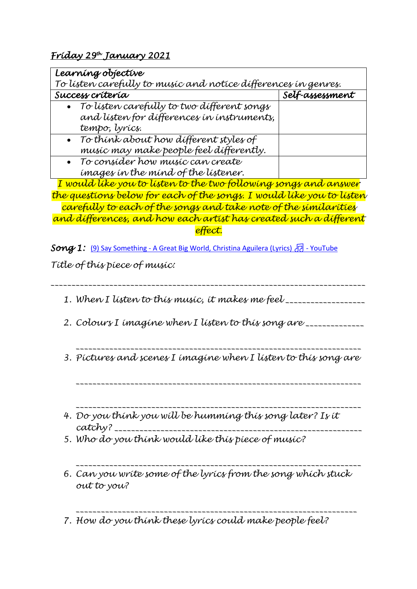*Friday 29th January 2021* 

| Learning objective                                                    |                 |  |
|-----------------------------------------------------------------------|-----------------|--|
| To lísten carefully to musíc and notice dífferences in genres.        |                 |  |
| Success crítería                                                      | Self-assessment |  |
| To listen carefully to two different songs                            |                 |  |
| and listen for differences in instruments,                            |                 |  |
| tempo, lyrícs.                                                        |                 |  |
| • To think about how different styles of                              |                 |  |
| musíc may make people feel dífferently.                               |                 |  |
| • To consider how music can create                                    |                 |  |
| images in the mind of the listener.                                   |                 |  |
| I would like you to listen to the two following songs and answer      |                 |  |
| the questions below for each of the songs. I would like you to listen |                 |  |
|                                                                       |                 |  |

*carefully to each of the songs and take note of the similarities and differences, and how each artist has created such a different effect.*

**Song 1:** (9) Say Something - [A Great Big World, Christina Aguilera \(Lyrics\)](https://www.youtube.com/watch?v=5wZhzlN9llU) <sub>1</sub> - YouTube

*Title of this piece of music:* 

*\_\_\_\_\_\_\_\_\_\_\_\_\_\_\_\_\_\_\_\_\_\_\_\_\_\_\_\_\_\_\_\_\_\_\_\_\_\_\_\_\_\_\_\_\_\_\_\_\_\_\_\_\_\_\_\_\_\_\_\_\_\_\_\_\_\_\_\_\_\_\_\_\_\_\_*

*1. When I listen to this music, it makes me feel \_\_\_\_\_\_\_\_\_\_\_\_\_\_\_\_\_\_\_*

- *2. Colours I imagine when I listen to this song are \_\_\_\_\_\_\_\_\_\_\_\_\_\_*
- *\_\_\_\_\_\_\_\_\_\_\_\_\_\_\_\_\_\_\_\_\_\_\_\_\_\_\_\_\_\_\_\_\_\_\_\_\_\_\_\_\_\_\_\_\_\_\_\_\_\_\_\_\_\_\_\_\_\_\_\_\_\_\_\_\_\_\_\_ 3. Pictures and scenes I imagine when I listen to this song are*

*\_\_\_\_\_\_\_\_\_\_\_\_\_\_\_\_\_\_\_\_\_\_\_\_\_\_\_\_\_\_\_\_\_\_\_\_\_\_\_\_\_\_\_\_\_\_\_\_\_\_\_\_\_\_\_\_\_\_\_\_\_\_\_\_\_\_\_\_*

- *\_\_\_\_\_\_\_\_\_\_\_\_\_\_\_\_\_\_\_\_\_\_\_\_\_\_\_\_\_\_\_\_\_\_\_\_\_\_\_\_\_\_\_\_\_\_\_\_\_\_\_\_\_\_\_\_\_\_\_\_\_\_\_\_\_\_\_\_ 4. Do you think you will be humming this song later? Is it catchy? \_\_\_\_\_\_\_\_\_\_\_\_\_\_\_\_\_\_\_\_\_\_\_\_\_\_\_\_\_\_\_\_\_\_\_\_\_\_\_\_\_\_\_\_\_\_\_\_\_\_\_\_\_\_\_\_\_\_\_*
- *5. Who do you think would like this piece of music?*
- *\_\_\_\_\_\_\_\_\_\_\_\_\_\_\_\_\_\_\_\_\_\_\_\_\_\_\_\_\_\_\_\_\_\_\_\_\_\_\_\_\_\_\_\_\_\_\_\_\_\_\_\_\_\_\_\_\_\_\_\_\_\_\_\_\_\_\_\_ 6. Can you write some of the lyrics from the song which stuck out to you?*

*\_\_\_\_\_\_\_\_\_\_\_\_\_\_\_\_\_\_\_\_\_\_\_\_\_\_\_\_\_\_\_\_\_\_\_\_\_\_\_\_\_\_\_\_\_\_\_\_\_\_\_\_\_\_\_\_\_\_\_\_\_\_\_\_\_\_\_ 7. How do you think these lyrics could make people feel?*